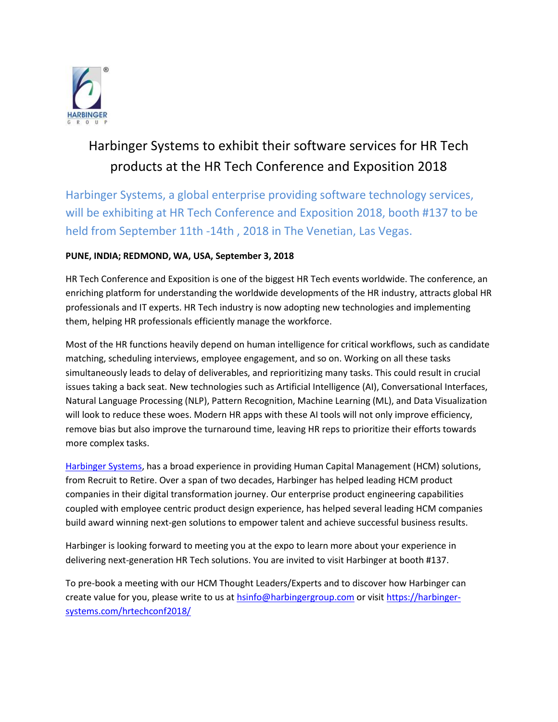

# Harbinger Systems to exhibit their software services for HR Tech products at the HR Tech Conference and Exposition 2018

Harbinger Systems, a global enterprise providing software technology services, will be exhibiting at HR Tech Conference and Exposition 2018, booth #137 to be held from September 11th -14th , 2018 in The Venetian, Las Vegas.

## **PUNE, INDIA; REDMOND, WA, USA, September 3, 2018**

HR Tech Conference and Exposition is one of the biggest HR Tech events worldwide. The conference, an enriching platform for understanding the worldwide developments of the HR industry, attracts global HR professionals and IT experts. HR Tech industry is now adopting new technologies and implementing them, helping HR professionals efficiently manage the workforce.

Most of the HR functions heavily depend on human intelligence for critical workflows, such as candidate matching, scheduling interviews, employee engagement, and so on. Working on all these tasks simultaneously leads to delay of deliverables, and reprioritizing many tasks. This could result in crucial issues taking a back seat. New technologies such as Artificial Intelligence (AI), Conversational Interfaces, Natural Language Processing (NLP), Pattern Recognition, Machine Learning (ML), and Data Visualization will look to reduce these woes. Modern HR apps with these AI tools will not only improve efficiency, remove bias but also improve the turnaround time, leaving HR reps to prioritize their efforts towards more complex tasks.

[Harbinger Systems,](https://harbinger-systems.com/) has a broad experience in providing Human Capital Management (HCM) solutions, from Recruit to Retire. Over a span of two decades, Harbinger has helped leading HCM product companies in their digital transformation journey. Our enterprise product engineering capabilities coupled with employee centric product design experience, has helped several leading HCM companies build award winning next-gen solutions to empower talent and achieve successful business results.

Harbinger is looking forward to meeting you at the expo to learn more about your experience in delivering next-generation HR Tech solutions. You are invited to visit Harbinger at booth #137.

To pre-book a meeting with our HCM Thought Leaders/Experts and to discover how Harbinger can create value for you, please write to us at [hsinfo@harbingergroup.com](mailto:hsinfo@harbingergroup.com) or visit [https://harbinger](https://harbinger-systems.com/hrtechconf2018/)[systems.com/hrtechconf2018/](https://harbinger-systems.com/hrtechconf2018/)